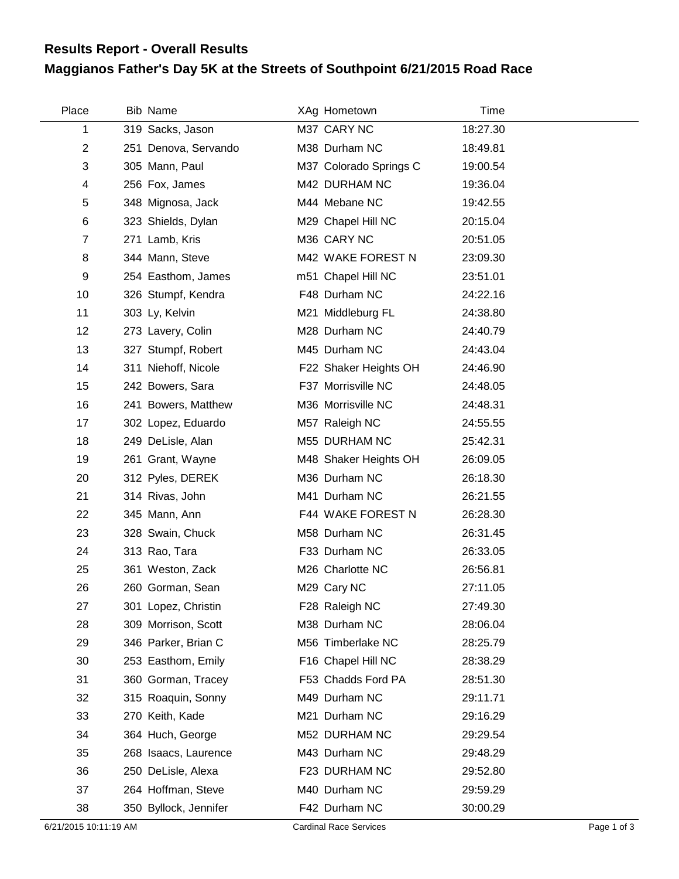## **Maggianos Father's Day 5K at the Streets of Southpoint 6/21/2015 Road Race Results Report - Overall Results**

| Place          | Bib Name              | XAg Hometown           | Time     |
|----------------|-----------------------|------------------------|----------|
| 1              | 319 Sacks, Jason      | M37 CARY NC            | 18:27.30 |
| $\overline{c}$ | 251 Denova, Servando  | M38 Durham NC          | 18:49.81 |
| 3              | 305 Mann, Paul        | M37 Colorado Springs C | 19:00.54 |
| 4              | 256 Fox, James        | M42 DURHAM NC          | 19:36.04 |
| 5              | 348 Mignosa, Jack     | M44 Mebane NC          | 19:42.55 |
| 6              | 323 Shields, Dylan    | M29 Chapel Hill NC     | 20:15.04 |
| $\overline{7}$ | 271 Lamb, Kris        | M36 CARY NC            | 20:51.05 |
| 8              | 344 Mann, Steve       | M42 WAKE FOREST N      | 23:09.30 |
| 9              | 254 Easthom, James    | m51 Chapel Hill NC     | 23:51.01 |
| 10             | 326 Stumpf, Kendra    | F48 Durham NC          | 24:22.16 |
| 11             | 303 Ly, Kelvin        | M21 Middleburg FL      | 24:38.80 |
| 12             | 273 Lavery, Colin     | M28 Durham NC          | 24:40.79 |
| 13             | 327 Stumpf, Robert    | M45 Durham NC          | 24:43.04 |
| 14             | 311 Niehoff, Nicole   | F22 Shaker Heights OH  | 24:46.90 |
| 15             | 242 Bowers, Sara      | F37 Morrisville NC     | 24:48.05 |
| 16             | 241 Bowers, Matthew   | M36 Morrisville NC     | 24:48.31 |
| 17             | 302 Lopez, Eduardo    | M57 Raleigh NC         | 24:55.55 |
| 18             | 249 DeLisle, Alan     | M55 DURHAM NC          | 25:42.31 |
| 19             | 261 Grant, Wayne      | M48 Shaker Heights OH  | 26:09.05 |
| 20             | 312 Pyles, DEREK      | M36 Durham NC          | 26:18.30 |
| 21             | 314 Rivas, John       | M41 Durham NC          | 26:21.55 |
| 22             | 345 Mann, Ann         | F44 WAKE FOREST N      | 26:28.30 |
| 23             | 328 Swain, Chuck      | M58 Durham NC          | 26:31.45 |
| 24             | 313 Rao, Tara         | F33 Durham NC          | 26:33.05 |
| 25             | 361 Weston, Zack      | M26 Charlotte NC       | 26:56.81 |
| 26             | 260 Gorman, Sean      | M29 Cary NC            | 27:11.05 |
| 27             | 301 Lopez, Christin   | F28 Raleigh NC         | 27:49.30 |
| 28             | 309 Morrison, Scott   | M38 Durham NC          | 28:06.04 |
| 29             | 346 Parker, Brian C   | M56 Timberlake NC      | 28:25.79 |
| 30             | 253 Easthom, Emily    | F16 Chapel Hill NC     | 28:38.29 |
| 31             | 360 Gorman, Tracey    | F53 Chadds Ford PA     | 28:51.30 |
| 32             | 315 Roaquin, Sonny    | M49 Durham NC          | 29:11.71 |
| 33             | 270 Keith, Kade       | M21 Durham NC          | 29:16.29 |
| 34             | 364 Huch, George      | M52 DURHAM NC          | 29:29.54 |
| 35             | 268 Isaacs, Laurence  | M43 Durham NC          | 29:48.29 |
| 36             | 250 DeLisle, Alexa    | F23 DURHAM NC          | 29:52.80 |
| 37             | 264 Hoffman, Steve    | M40 Durham NC          | 29:59.29 |
| 38             | 350 Byllock, Jennifer | F42 Durham NC          | 30:00.29 |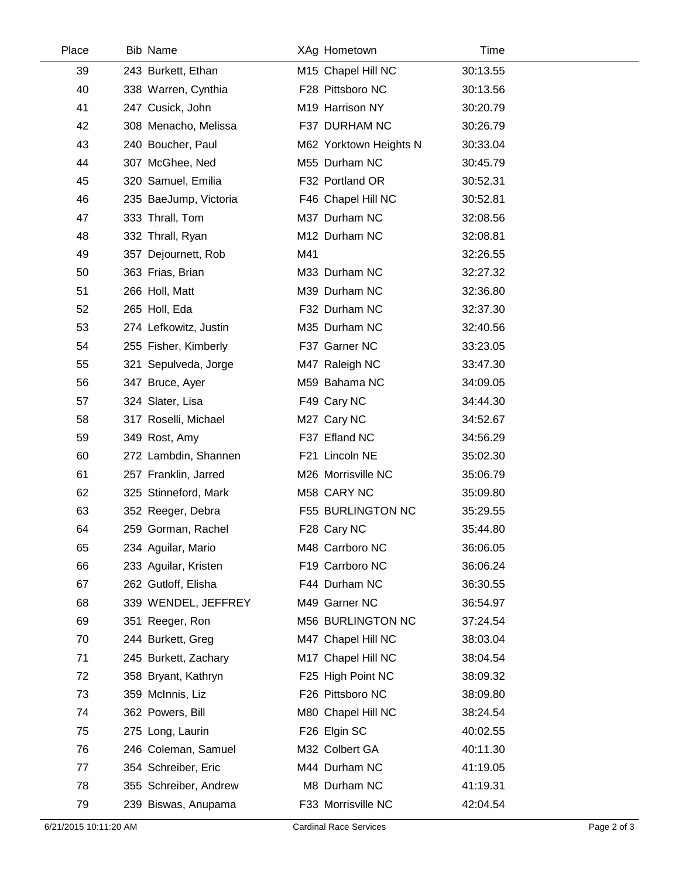| Place | Bib Name              | XAg Hometown           | Time     |  |
|-------|-----------------------|------------------------|----------|--|
| 39    | 243 Burkett, Ethan    | M15 Chapel Hill NC     | 30:13.55 |  |
| 40    | 338 Warren, Cynthia   | F28 Pittsboro NC       | 30:13.56 |  |
| 41    | 247 Cusick, John      | M19 Harrison NY        | 30:20.79 |  |
| 42    | 308 Menacho, Melissa  | F37 DURHAM NC          | 30:26.79 |  |
| 43    | 240 Boucher, Paul     | M62 Yorktown Heights N | 30:33.04 |  |
| 44    | 307 McGhee, Ned       | M55 Durham NC          | 30:45.79 |  |
| 45    | 320 Samuel, Emilia    | F32 Portland OR        | 30:52.31 |  |
| 46    | 235 BaeJump, Victoria | F46 Chapel Hill NC     | 30:52.81 |  |
| 47    | 333 Thrall, Tom       | M37 Durham NC          | 32:08.56 |  |
| 48    | 332 Thrall, Ryan      | M12 Durham NC          | 32:08.81 |  |
| 49    | 357 Dejournett, Rob   | M41                    | 32:26.55 |  |
| 50    | 363 Frias, Brian      | M33 Durham NC          | 32:27.32 |  |
| 51    | 266 Holl, Matt        | M39 Durham NC          | 32:36.80 |  |
| 52    | 265 Holl, Eda         | F32 Durham NC          | 32:37.30 |  |
| 53    | 274 Lefkowitz, Justin | M35 Durham NC          | 32:40.56 |  |
| 54    | 255 Fisher, Kimberly  | F37 Garner NC          | 33:23.05 |  |
| 55    | 321 Sepulveda, Jorge  | M47 Raleigh NC         | 33:47.30 |  |
| 56    | 347 Bruce, Ayer       | M59 Bahama NC          | 34:09.05 |  |
| 57    | 324 Slater, Lisa      | F49 Cary NC            | 34:44.30 |  |
| 58    | 317 Roselli, Michael  | M27 Cary NC            | 34:52.67 |  |
| 59    | 349 Rost, Amy         | F37 Efland NC          | 34:56.29 |  |
| 60    | 272 Lambdin, Shannen  | F21 Lincoln NE         | 35:02.30 |  |
| 61    | 257 Franklin, Jarred  | M26 Morrisville NC     | 35:06.79 |  |
| 62    | 325 Stinneford, Mark  | M58 CARY NC            | 35:09.80 |  |
| 63    | 352 Reeger, Debra     | F55 BURLINGTON NC      | 35:29.55 |  |
| 64    | 259 Gorman, Rachel    | F28 Cary NC            | 35:44.80 |  |
| 65    | 234 Aguilar, Mario    | M48 Carrboro NC        | 36:06.05 |  |
| 66    | 233 Aguilar, Kristen  | F19 Carrboro NC        | 36:06.24 |  |
| 67    | 262 Gutloff, Elisha   | F44 Durham NC          | 36:30.55 |  |
| 68    | 339 WENDEL, JEFFREY   | M49 Garner NC          | 36:54.97 |  |
| 69    | 351 Reeger, Ron       | M56 BURLINGTON NC      | 37:24.54 |  |
| 70    | 244 Burkett, Greg     | M47 Chapel Hill NC     | 38:03.04 |  |
| 71    | 245 Burkett, Zachary  | M17 Chapel Hill NC     | 38:04.54 |  |
| 72    | 358 Bryant, Kathryn   | F25 High Point NC      | 38:09.32 |  |
| 73    | 359 McInnis, Liz      | F26 Pittsboro NC       | 38:09.80 |  |
| 74    | 362 Powers, Bill      | M80 Chapel Hill NC     | 38:24.54 |  |
| 75    | 275 Long, Laurin      | F26 Elgin SC           | 40:02.55 |  |
| 76    | 246 Coleman, Samuel   | M32 Colbert GA         | 40:11.30 |  |
| 77    | 354 Schreiber, Eric   | M44 Durham NC          | 41:19.05 |  |
| 78    | 355 Schreiber, Andrew | M8 Durham NC           | 41:19.31 |  |
| 79    | 239 Biswas, Anupama   | F33 Morrisville NC     | 42:04.54 |  |